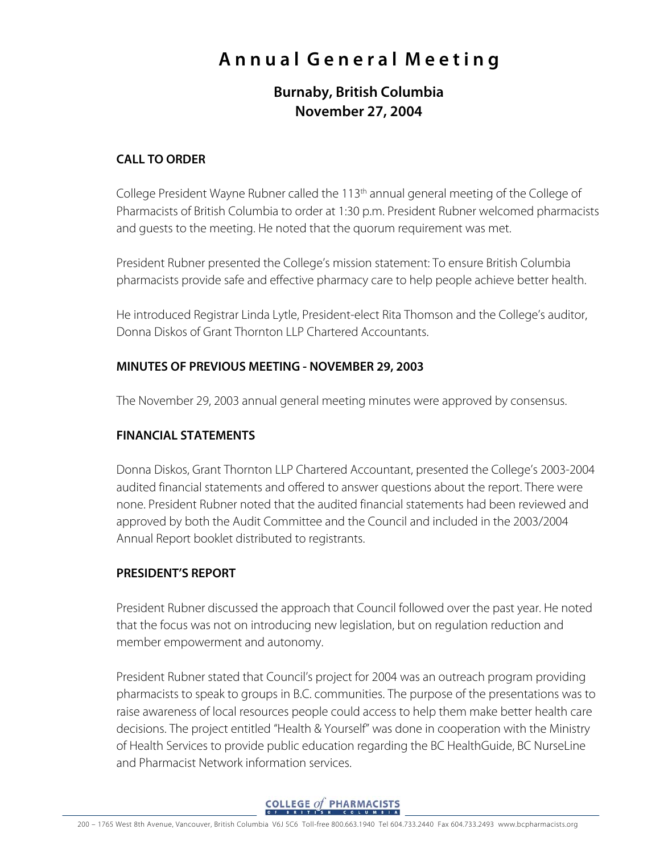# **A n n u a l G e n e r a l M e e t i n g**

# **Burnaby, British Columbia November 27, 2004**

#### **CALL TO ORDER**

College President Wayne Rubner called the 113<sup>th</sup> annual general meeting of the College of Pharmacists of British Columbia to order at 1:30 p.m. President Rubner welcomed pharmacists and guests to the meeting. He noted that the quorum requirement was met.

President Rubner presented the College's mission statement: To ensure British Columbia pharmacists provide safe and effective pharmacy care to help people achieve better health.

He introduced Registrar Linda Lytle, President-elect Rita Thomson and the College's auditor, Donna Diskos of Grant Thornton LLP Chartered Accountants.

#### **MINUTES OF PREVIOUS MEETING - NOVEMBER 29, 2003**

The November 29, 2003 annual general meeting minutes were approved by consensus.

#### **FINANCIAL STATEMENTS**

Donna Diskos, Grant Thornton LLP Chartered Accountant, presented the College's 2003-2004 audited financial statements and offered to answer questions about the report. There were none. President Rubner noted that the audited financial statements had been reviewed and approved by both the Audit Committee and the Council and included in the 2003/2004 Annual Report booklet distributed to registrants.

#### **PRESIDENT'S REPORT**

President Rubner discussed the approach that Council followed over the past year. He noted that the focus was not on introducing new legislation, but on regulation reduction and member empowerment and autonomy.

President Rubner stated that Council's project for 2004 was an outreach program providing pharmacists to speak to groups in B.C. communities. The purpose of the presentations was to raise awareness of local resources people could access to help them make better health care decisions. The project entitled "Health & Yourself" was done in cooperation with the Ministry of Health Services to provide public education regarding the BC HealthGuide, BC NurseLine and Pharmacist Network information services.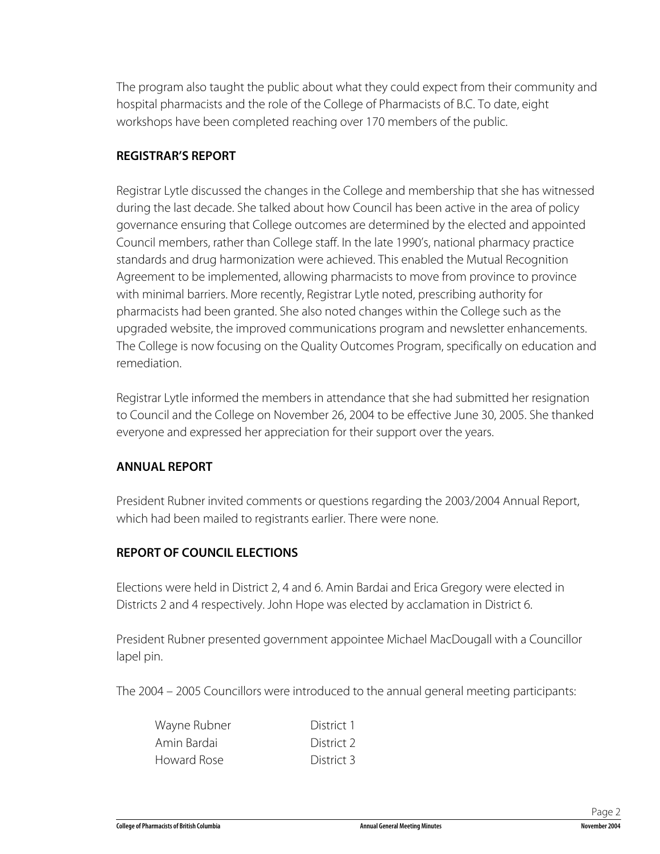The program also taught the public about what they could expect from their community and hospital pharmacists and the role of the College of Pharmacists of B.C. To date, eight workshops have been completed reaching over 170 members of the public.

#### **REGISTRAR'S REPORT**

Registrar Lytle discussed the changes in the College and membership that she has witnessed during the last decade. She talked about how Council has been active in the area of policy governance ensuring that College outcomes are determined by the elected and appointed Council members, rather than College staff. In the late 1990's, national pharmacy practice standards and drug harmonization were achieved. This enabled the Mutual Recognition Agreement to be implemented, allowing pharmacists to move from province to province with minimal barriers. More recently, Registrar Lytle noted, prescribing authority for pharmacists had been granted. She also noted changes within the College such as the upgraded website, the improved communications program and newsletter enhancements. The College is now focusing on the Quality Outcomes Program, specifically on education and remediation.

Registrar Lytle informed the members in attendance that she had submitted her resignation to Council and the College on November 26, 2004 to be effective June 30, 2005. She thanked everyone and expressed her appreciation for their support over the years.

#### **ANNUAL REPORT**

President Rubner invited comments or questions regarding the 2003/2004 Annual Report, which had been mailed to registrants earlier. There were none.

## **REPORT OF COUNCIL ELECTIONS**

Elections were held in District 2, 4 and 6. Amin Bardai and Erica Gregory were elected in Districts 2 and 4 respectively. John Hope was elected by acclamation in District 6.

President Rubner presented government appointee Michael MacDougall with a Councillor lapel pin.

The 2004 – 2005 Councillors were introduced to the annual general meeting participants:

| Wayne Rubner | District 1 |
|--------------|------------|
| Amin Bardai  | District 2 |
| Howard Rose  | District 3 |